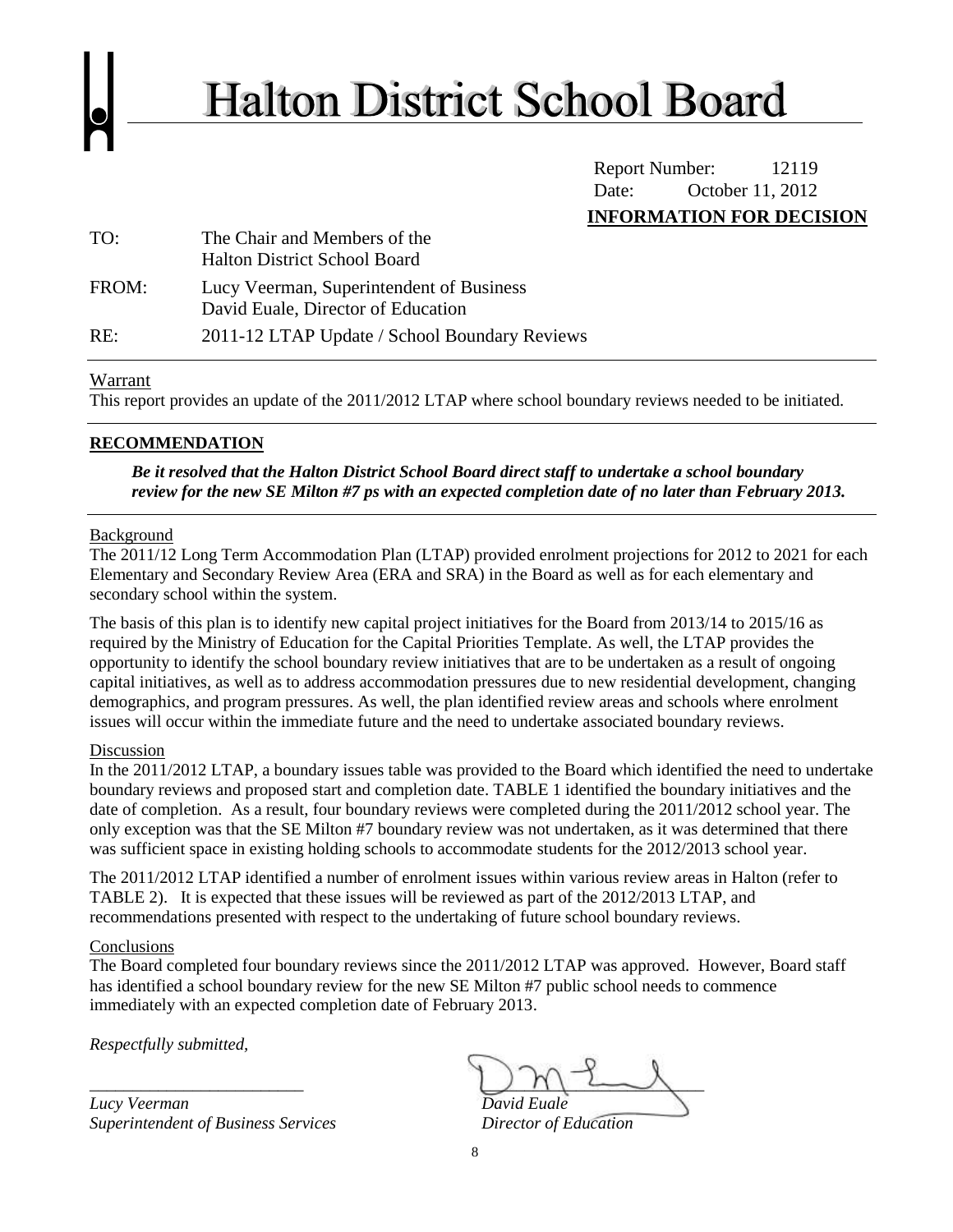

# **Halton District School Board**

Report Number: 12119 Date: October 11, 2012 **INFORMATION FOR DECISION**

| TO:   | The Chair and Members of the<br><b>Halton District School Board</b>            |
|-------|--------------------------------------------------------------------------------|
| FROM: | Lucy Veerman, Superintendent of Business<br>David Euale, Director of Education |
| RE:   | 2011-12 LTAP Update / School Boundary Reviews                                  |

#### Warrant

This report provides an update of the 2011/2012 LTAP where school boundary reviews needed to be initiated.

### **RECOMMENDATION**

*Be it resolved that the Halton District School Board direct staff to undertake a school boundary review for the new SE Milton #7 ps with an expected completion date of no later than February 2013.*

#### Background

The 2011/12 Long Term Accommodation Plan (LTAP) provided enrolment projections for 2012 to 2021 for each Elementary and Secondary Review Area (ERA and SRA) in the Board as well as for each elementary and secondary school within the system.

The basis of this plan is to identify new capital project initiatives for the Board from 2013/14 to 2015/16 as required by the Ministry of Education for the Capital Priorities Template. As well, the LTAP provides the opportunity to identify the school boundary review initiatives that are to be undertaken as a result of ongoing capital initiatives, as well as to address accommodation pressures due to new residential development, changing demographics, and program pressures. As well, the plan identified review areas and schools where enrolment issues will occur within the immediate future and the need to undertake associated boundary reviews.

#### Discussion

In the 2011/2012 LTAP, a boundary issues table was provided to the Board which identified the need to undertake boundary reviews and proposed start and completion date. TABLE 1 identified the boundary initiatives and the date of completion. As a result, four boundary reviews were completed during the 2011/2012 school year. The only exception was that the SE Milton #7 boundary review was not undertaken, as it was determined that there was sufficient space in existing holding schools to accommodate students for the 2012/2013 school year.

The 2011/2012 LTAP identified a number of enrolment issues within various review areas in Halton (refer to TABLE 2). It is expected that these issues will be reviewed as part of the 2012/2013 LTAP, and recommendations presented with respect to the undertaking of future school boundary reviews.

#### Conclusions

The Board completed four boundary reviews since the 2011/2012 LTAP was approved. However, Board staff has identified a school boundary review for the new SE Milton #7 public school needs to commence immediately with an expected completion date of February 2013.

*Respectfully submitted,*

 $Lucy$  *Veerman Superintendent of Business Services Director of Education* 

*\_\_\_\_\_\_\_\_\_\_\_\_\_\_\_\_\_\_\_\_\_\_\_\_\_ \_\_\_\_\_\_\_\_\_\_\_\_\_\_\_\_\_\_\_\_\_\_\_\_\_\_*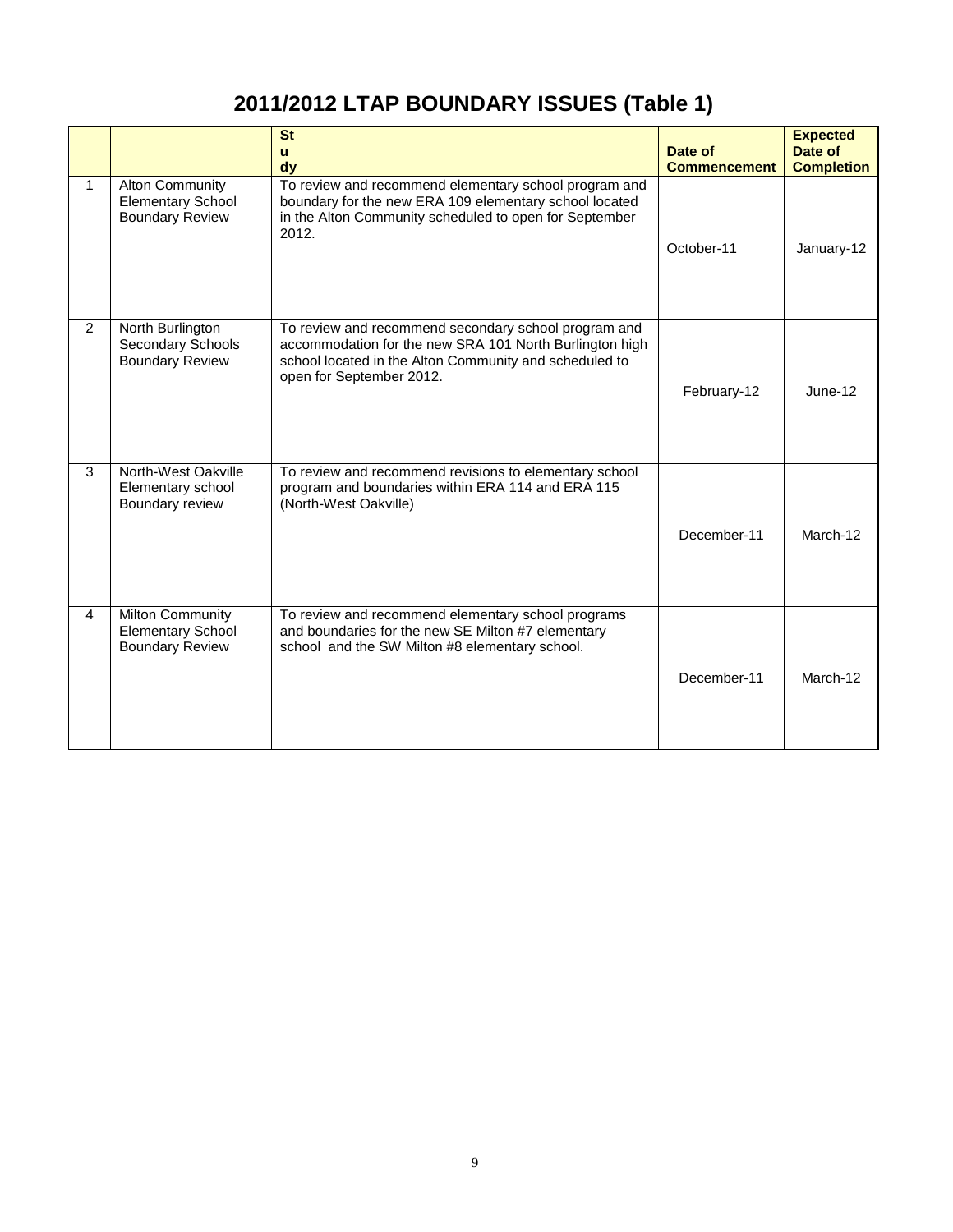## **2011/2012 LTAP BOUNDARY ISSUES (Table 1)**

|              |                                                                               | <b>St</b><br>$\mathbf{u}$<br>dy                                                                                                                                                                       | Date of<br><b>Commencement</b> | <b>Expected</b><br>Date of<br><b>Completion</b> |
|--------------|-------------------------------------------------------------------------------|-------------------------------------------------------------------------------------------------------------------------------------------------------------------------------------------------------|--------------------------------|-------------------------------------------------|
| $\mathbf{1}$ | <b>Alton Community</b><br><b>Elementary School</b><br><b>Boundary Review</b>  | To review and recommend elementary school program and<br>boundary for the new ERA 109 elementary school located<br>in the Alton Community scheduled to open for September<br>2012.                    | October-11                     | January-12                                      |
| 2            | North Burlington<br><b>Secondary Schools</b><br><b>Boundary Review</b>        | To review and recommend secondary school program and<br>accommodation for the new SRA 101 North Burlington high<br>school located in the Alton Community and scheduled to<br>open for September 2012. | February-12                    | June-12                                         |
| 3            | North-West Oakville<br>Elementary school<br>Boundary review                   | To review and recommend revisions to elementary school<br>program and boundaries within ERA 114 and ERA 115<br>(North-West Oakville)                                                                  | December-11                    | March-12                                        |
| 4            | <b>Milton Community</b><br><b>Elementary School</b><br><b>Boundary Review</b> | To review and recommend elementary school programs<br>and boundaries for the new SE Milton #7 elementary<br>school and the SW Milton #8 elementary school.                                            | December-11                    | March-12                                        |